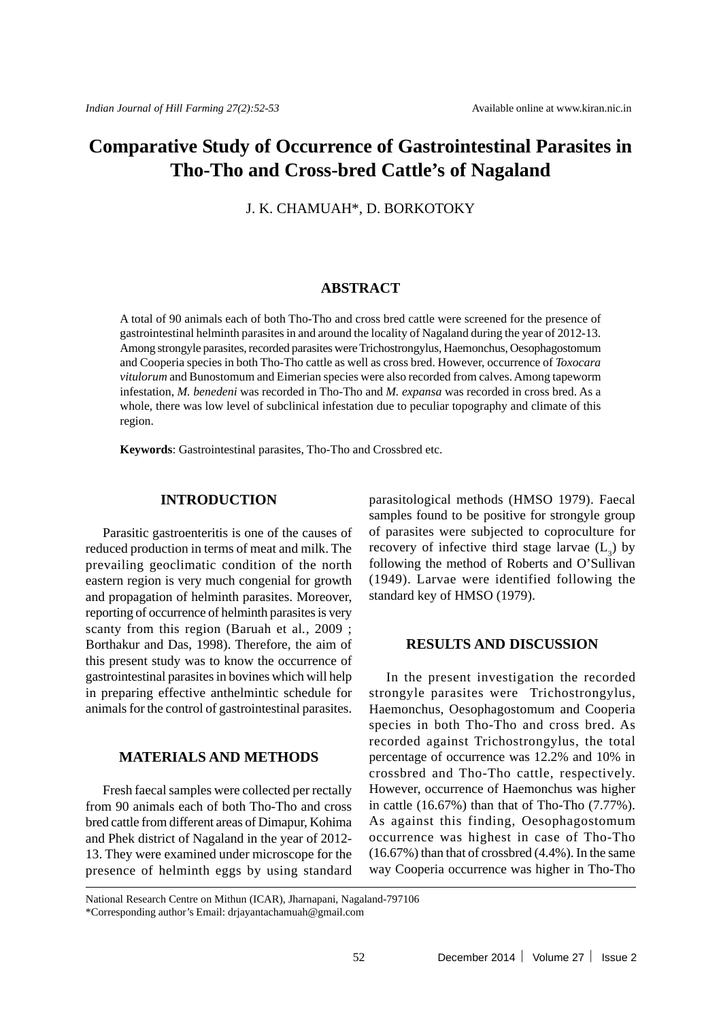# **Comparative Study of Occurrence of Gastrointestinal Parasites in Tho-Tho and Cross-bred Cattle's of Nagaland**

J. K. CHAMUAH\*, D. BORKOTOKY

## **ABSTRACT**

A total of 90 animals each of both Tho-Tho and cross bred cattle were screened for the presence of gastrointestinal helminth parasites in and around the locality of Nagaland during the year of 2012-13. Among strongyle parasites, recorded parasites were Trichostrongylus, Haemonchus, Oesophagostomum and Cooperia species in both Tho-Tho cattle as well as cross bred. However, occurrence of *Toxocara vitulorum* and Bunostomum and Eimerian species were also recorded from calves. Among tapeworm infestation, *M. benedeni* was recorded in Tho-Tho and *M. expansa* was recorded in cross bred. As a whole, there was low level of subclinical infestation due to peculiar topography and climate of this region.

**Keywords**: Gastrointestinal parasites, Tho-Tho and Crossbred etc.

### **INTRODUCTION**

Parasitic gastroenteritis is one of the causes of reduced production in terms of meat and milk. The prevailing geoclimatic condition of the north eastern region is very much congenial for growth and propagation of helminth parasites. Moreover, reporting of occurrence of helminth parasites is very scanty from this region (Baruah et al*.,* 2009 ; Borthakur and Das, 1998). Therefore, the aim of this present study was to know the occurrence of gastrointestinal parasites in bovines which will help in preparing effective anthelmintic schedule for animals for the control of gastrointestinal parasites.

### **MATERIALS AND METHODS**

Fresh faecal samples were collected per rectally from 90 animals each of both Tho-Tho and cross bred cattle from different areas of Dimapur, Kohima and Phek district of Nagaland in the year of 2012- 13. They were examined under microscope for the presence of helminth eggs by using standard parasitological methods (HMSO 1979). Faecal samples found to be positive for strongyle group of parasites were subjected to coproculture for recovery of infective third stage larvae  $(L_3)$  by following the method of Roberts and O'Sullivan (1949). Larvae were identified following the standard key of HMSO (1979).

## **RESULTS AND DISCUSSION**

In the present investigation the recorded strongyle parasites were Trichostrongylus, Haemonchus, Oesophagostomum and Cooperia species in both Tho-Tho and cross bred. As recorded against Trichostrongylus, the total percentage of occurrence was 12.2% and 10% in crossbred and Tho-Tho cattle, respectively. However, occurrence of Haemonchus was higher in cattle  $(16.67%)$  than that of Tho-Tho  $(7.77%)$ . As against this finding, Oesophagostomum occurrence was highest in case of Tho-Tho (16.67%) than that of crossbred (4.4%). In the same way Cooperia occurrence was higher in Tho-Tho

National Research Centre on Mithun (ICAR), Jharnapani, Nagaland-797106

<sup>\*</sup>Corresponding author's Email: drjayantachamuah@gmail.com